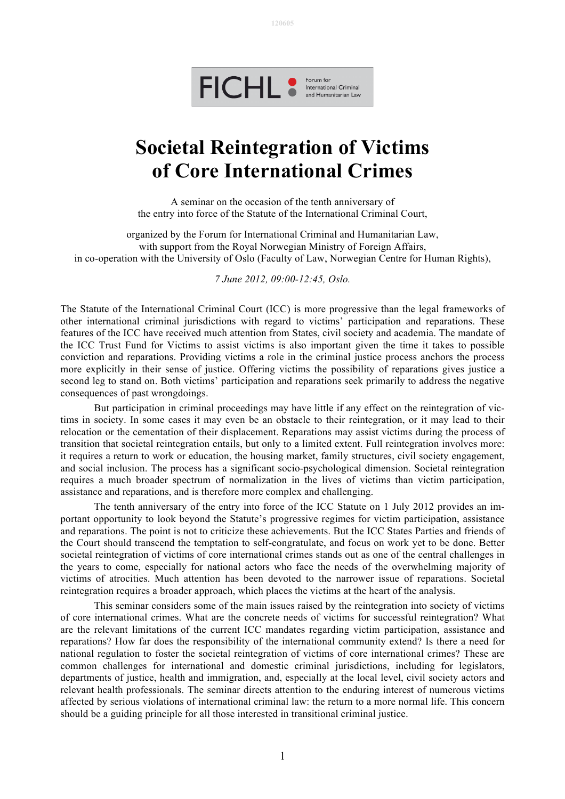



## **Societal Reintegration of Victims of Core International Crimes**

A seminar on the occasion of the tenth anniversary of the entry into force of the Statute of the International Criminal Court,

organized by the Forum for International Criminal and Humanitarian Law, with support from the Royal Norwegian Ministry of Foreign Affairs, in co-operation with the University of Oslo (Faculty of Law, Norwegian Centre for Human Rights),

*7 June 2012, 09:00-12:45, Oslo.*

The Statute of the International Criminal Court (ICC) is more progressive than the legal frameworks of other international criminal jurisdictions with regard to victims' participation and reparations. These features of the ICC have received much attention from States, civil society and academia. The mandate of the ICC Trust Fund for Victims to assist victims is also important given the time it takes to possible conviction and reparations. Providing victims a role in the criminal justice process anchors the process more explicitly in their sense of justice. Offering victims the possibility of reparations gives justice a second leg to stand on. Both victims' participation and reparations seek primarily to address the negative consequences of past wrongdoings.

But participation in criminal proceedings may have little if any effect on the reintegration of victims in society. In some cases it may even be an obstacle to their reintegration, or it may lead to their relocation or the cementation of their displacement. Reparations may assist victims during the process of transition that societal reintegration entails, but only to a limited extent. Full reintegration involves more: it requires a return to work or education, the housing market, family structures, civil society engagement, and social inclusion. The process has a significant socio-psychological dimension. Societal reintegration requires a much broader spectrum of normalization in the lives of victims than victim participation, assistance and reparations, and is therefore more complex and challenging.

The tenth anniversary of the entry into force of the ICC Statute on 1 July 2012 provides an important opportunity to look beyond the Statute's progressive regimes for victim participation, assistance and reparations. The point is not to criticize these achievements. But the ICC States Parties and friends of the Court should transcend the temptation to self-congratulate, and focus on work yet to be done. Better societal reintegration of victims of core international crimes stands out as one of the central challenges in the years to come, especially for national actors who face the needs of the overwhelming majority of victims of atrocities. Much attention has been devoted to the narrower issue of reparations. Societal reintegration requires a broader approach, which places the victims at the heart of the analysis.

This seminar considers some of the main issues raised by the reintegration into society of victims of core international crimes. What are the concrete needs of victims for successful reintegration? What are the relevant limitations of the current ICC mandates regarding victim participation, assistance and reparations? How far does the responsibility of the international community extend? Is there a need for national regulation to foster the societal reintegration of victims of core international crimes? These are common challenges for international and domestic criminal jurisdictions, including for legislators, departments of justice, health and immigration, and, especially at the local level, civil society actors and relevant health professionals. The seminar directs attention to the enduring interest of numerous victims affected by serious violations of international criminal law: the return to a more normal life. This concern should be a guiding principle for all those interested in transitional criminal justice.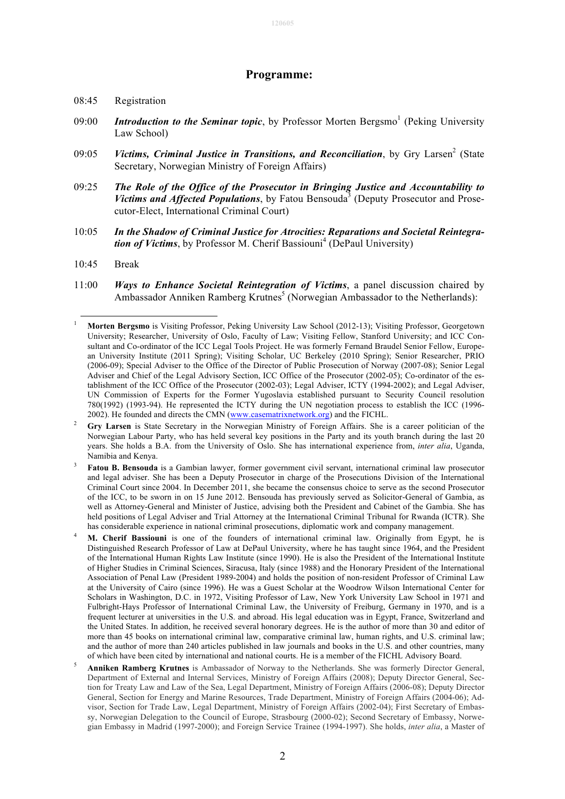## **120605**

## **Programme:**

## 08:45 Registration

- 09:00 *Introduction to the Seminar topic*, by Professor Morten Bergsmo<sup>1</sup> (Peking University Law School)
- 09:05 *Victims, Criminal Justice in Transitions, and Reconciliation*, by Gry Larsen<sup>2</sup> (State Secretary, Norwegian Ministry of Foreign Affairs)
- 09:25 *The Role of the Office of the Prosecutor in Bringing Justice and Accountability to Victims and Affected Populations*, by Fatou Bensouda<sup>3</sup> (Deputy Prosecutor and Prosecutor-Elect, International Criminal Court)
- 10:05 *In the Shadow of Criminal Justice for Atrocities: Reparations and Societal Reintegration of Victims*, by Professor M. Cherif Bassiouni<sup>4</sup> (DePaul University)
- $10.45$  Break
- 11:00 *Ways to Enhance Societal Reintegration of Victims*, a panel discussion chaired by Ambassador Anniken Ramberg Krutnes<sup>5</sup> (Norwegian Ambassador to the Netherlands):

- Distinguished Research Professor of Law at DePaul University, where he has taught since 1964, and the President of the International Human Rights Law Institute (since 1990). He is also the President of the International Institute of Higher Studies in Criminal Sciences, Siracusa, Italy (since 1988) and the Honorary President of the International Association of Penal Law (President 1989-2004) and holds the position of non-resident Professor of Criminal Law at the University of Cairo (since 1996). He was a Guest Scholar at the Woodrow Wilson International Center for Scholars in Washington, D.C. in 1972, Visiting Professor of Law, New York University Law School in 1971 and Fulbright-Hays Professor of International Criminal Law, the University of Freiburg, Germany in 1970, and is a frequent lecturer at universities in the U.S. and abroad. His legal education was in Egypt, France, Switzerland and the United States. In addition, he received several honorary degrees. He is the author of more than 30 and editor of more than 45 books on international criminal law, comparative criminal law, human rights, and U.S. criminal law; and the author of more than 240 articles published in law journals and books in the U.S. and other countries, many of which have been cited by international and national courts. He is a member of the FICHL Advisory Board.
- 5 **Anniken Ramberg Krutnes** is Ambassador of Norway to the Netherlands. She was formerly Director General, Department of External and Internal Services, Ministry of Foreign Affairs (2008); Deputy Director General, Section for Treaty Law and Law of the Sea, Legal Department, Ministry of Foreign Affairs (2006-08); Deputy Director General, Section for Energy and Marine Resources, Trade Department, Ministry of Foreign Affairs (2004-06); Advisor, Section for Trade Law, Legal Department, Ministry of Foreign Affairs (2002-04); First Secretary of Embassy, Norwegian Delegation to the Council of Europe, Strasbourg (2000-02); Second Secretary of Embassy, Norwegian Embassy in Madrid (1997-2000); and Foreign Service Trainee (1994-1997). She holds, *inter alia*, a Master of

 <sup>1</sup> **Morten Bergsmo** is Visiting Professor, Peking University Law School (2012-13); Visiting Professor, Georgetown University; Researcher, University of Oslo, Faculty of Law; Visiting Fellow, Stanford University; and ICC Consultant and Co-ordinator of the ICC Legal Tools Project. He was formerly Fernand Braudel Senior Fellow, European University Institute (2011 Spring); Visiting Scholar, UC Berkeley (2010 Spring); Senior Researcher, PRIO (2006-09); Special Adviser to the Office of the Director of Public Prosecution of Norway (2007-08); Senior Legal Adviser and Chief of the Legal Advisory Section, ICC Office of the Prosecutor (2002-05); Co-ordinator of the establishment of the ICC Office of the Prosecutor (2002-03); Legal Adviser, ICTY (1994-2002); and Legal Adviser, UN Commission of Experts for the Former Yugoslavia established pursuant to Security Council resolution 780(1992) (1993-94). He represented the ICTY during the UN negotiation process to establish the ICC (1996- 2002). He founded and directs the CMN (www.casematrixnetwork.org) and the FICHL.

<sup>&</sup>lt;sup>2</sup> **Gry Larsen** is State Secretary in the Norwegian Ministry of Foreign Affairs. She is a career politician of the Norwegian Labour Party, who has held several key positions in the Party and its youth branch during the last 20 years. She holds a B.A. from the University of Oslo. She has international experience from, *inter alia*, Uganda, Namibia and Kenya.

<sup>&</sup>lt;sup>3</sup> **Fatou B. Bensouda** is a Gambian lawyer, former government civil servant, international criminal law prosecutor and legal adviser. She has been a Deputy Prosecutor in charge of the Prosecutions Division of the International Criminal Court since 2004. In December 2011, she became the consensus choice to serve as the second Prosecutor of the ICC, to be sworn in on 15 June 2012. Bensouda has previously served as Solicitor-General of Gambia, as well as Attorney-General and Minister of Justice, advising both the President and Cabinet of the Gambia. She has held positions of Legal Adviser and Trial Attorney at the International Criminal Tribunal for Rwanda (ICTR). She has considerable experience in national criminal prosecutions, diplomatic work and company management.<br>**M. Cherif Bassiouni** is one of the founders of international criminal law. Originally from Egypt, he is